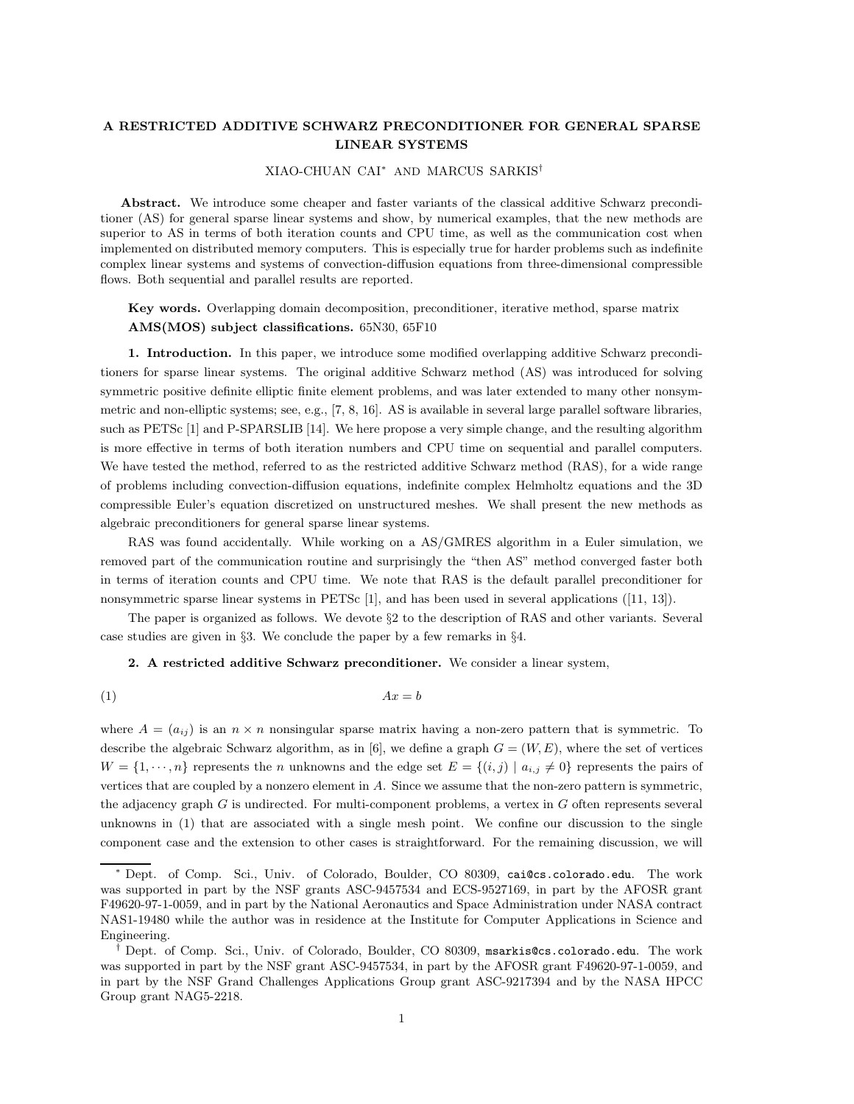## **A RESTRICTED ADDITIVE SCHWARZ PRECONDITIONER FOR GENERAL SPARSE LINEAR SYSTEMS**

## XIAO-CHUAN CAI<sup>∗</sup> AND MARCUS SARKIS†

**Abstract.** We introduce some cheaper and faster variants of the classical additive Schwarz preconditioner (AS) for general sparse linear systems and show, by numerical examples, that the new methods are superior to AS in terms of both iteration counts and CPU time, as well as the communication cost when implemented on distributed memory computers. This is especially true for harder problems such as indefinite complex linear systems and systems of convection-diffusion equations from three-dimensional compressible flows. Both sequential and parallel results are reported.

**Key words.** Overlapping domain decomposition, preconditioner, iterative method, sparse matrix **AMS(MOS) subject classifications.** 65N30, 65F10

**1. Introduction.** In this paper, we introduce some modified overlapping additive Schwarz preconditioners for sparse linear systems. The original additive Schwarz method (AS) was introduced for solving symmetric positive definite elliptic finite element problems, and was later extended to many other nonsymmetric and non-elliptic systems; see, e.g., [7, 8, 16]. AS is available in several large parallel software libraries, such as PETSc [1] and P-SPARSLIB [14]. We here propose a very simple change, and the resulting algorithm is more effective in terms of both iteration numbers and CPU time on sequential and parallel computers. We have tested the method, referred to as the restricted additive Schwarz method (RAS), for a wide range of problems including convection-diffusion equations, indefinite complex Helmholtz equations and the 3D compressible Euler's equation discretized on unstructured meshes. We shall present the new methods as algebraic preconditioners for general sparse linear systems.

RAS was found accidentally. While working on a AS/GMRES algorithm in a Euler simulation, we removed part of the communication routine and surprisingly the "then AS" method converged faster both in terms of iteration counts and CPU time. We note that RAS is the default parallel preconditioner for nonsymmetric sparse linear systems in PETSc [1], and has been used in several applications ([11, 13]).

The paper is organized as follows. We devote §2 to the description of RAS and other variants. Several case studies are given in §3. We conclude the paper by a few remarks in §4.

## **2. A restricted additive Schwarz preconditioner.** We consider a linear system,

$$
(1) \t\t Ax = b
$$

where  $A = (a_{ij})$  is an  $n \times n$  nonsingular sparse matrix having a non-zero pattern that is symmetric. To describe the algebraic Schwarz algorithm, as in [6], we define a graph  $G = (W, E)$ , where the set of vertices  $W = \{1, \dots, n\}$  represents the n unknowns and the edge set  $E = \{(i, j) | a_{i,j} \neq 0\}$  represents the pairs of vertices that are coupled by a nonzero element in A. Since we assume that the non-zero pattern is symmetric, the adjacency graph  $G$  is undirected. For multi-component problems, a vertex in  $G$  often represents several unknowns in (1) that are associated with a single mesh point. We confine our discussion to the single component case and the extension to other cases is straightforward. For the remaining discussion, we will

<sup>∗</sup> Dept. of Comp. Sci., Univ. of Colorado, Boulder, CO 80309, cai@cs.colorado.edu. The work was supported in part by the NSF grants ASC-9457534 and ECS-9527169, in part by the AFOSR grant F49620-97-1-0059, and in part by the National Aeronautics and Space Administration under NASA contract NAS1-19480 while the author was in residence at the Institute for Computer Applications in Science and Engineering.

<sup>†</sup> Dept. of Comp. Sci., Univ. of Colorado, Boulder, CO 80309, msarkis@cs.colorado.edu. The work was supported in part by the NSF grant ASC-9457534, in part by the AFOSR grant F49620-97-1-0059, and in part by the NSF Grand Challenges Applications Group grant ASC-9217394 and by the NASA HPCC Group grant NAG5-2218.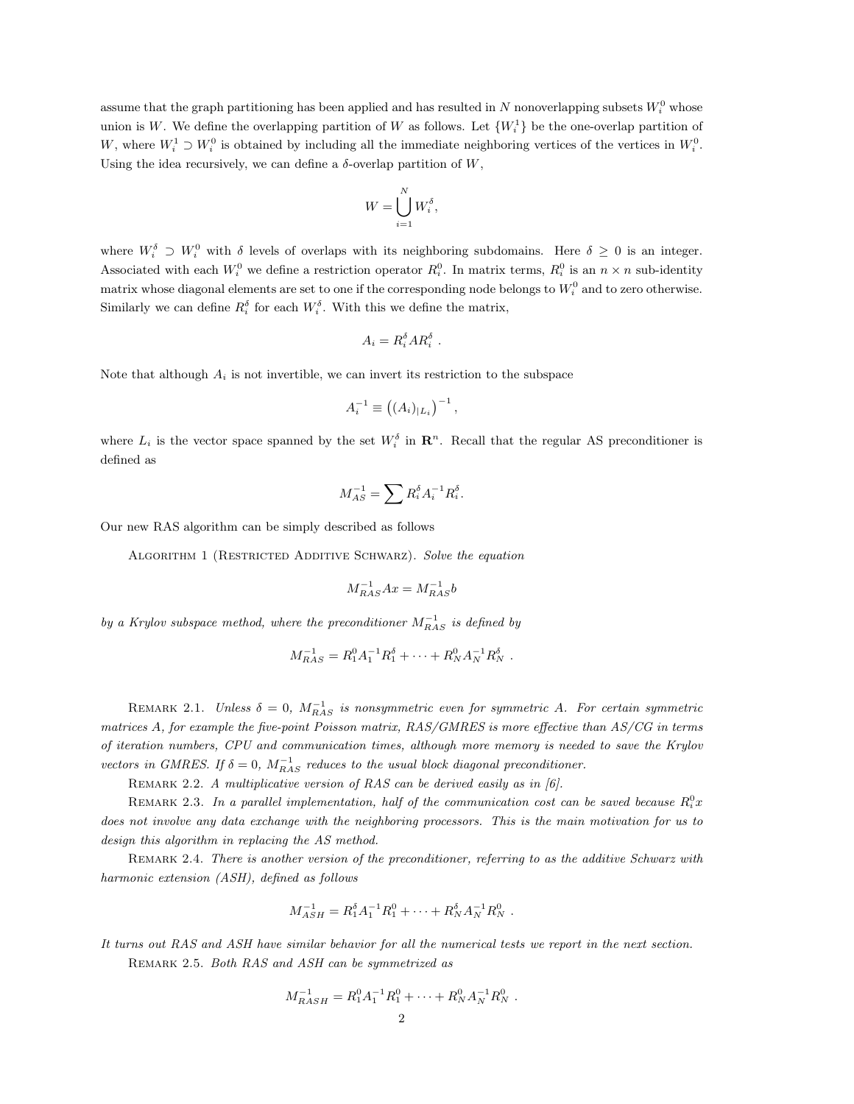assume that the graph partitioning has been applied and has resulted in N nonoverlapping subsets  $W_i^0$  whose union is W. We define the overlapping partition of W as follows. Let  $\{W_i^1\}$  be the one-overlap partition of W, where  $W_i^1 \supset W_i^0$  is obtained by including all the immediate neighboring vertices of the vertices in  $W_i^0$ . Using the idea recursively, we can define a  $\delta$ -overlap partition of W,

$$
W = \bigcup_{i=1}^N W_i^{\delta},
$$

where  $W_i^{\delta} \supset W_i^0$  with  $\delta$  levels of overlaps with its neighboring subdomains. Here  $\delta \geq 0$  is an integer. Associated with each  $W_i^0$  we define a restriction operator  $R_i^0$ . In matrix terms,  $R_i^0$  is an  $n \times n$  sub-identity matrix whose diagonal elements are set to one if the corresponding node belongs to  $W_i^0$  and to zero otherwise. Similarly we can define  $R_i^{\delta}$  for each  $W_i^{\delta}$ . With this we define the matrix,

$$
A_i = R_i^{\delta} A R_i^{\delta} .
$$

Note that although  $A_i$  is not invertible, we can invert its restriction to the subspace

$$
A_i^{-1} \equiv ((A_i)_{|L_i})^{-1},
$$

where  $L_i$  is the vector space spanned by the set  $W_i^{\delta}$  in  $\mathbb{R}^n$ . Recall that the regular AS preconditioner is defined as

$$
M_{AS}^{-1} = \sum R_i^{\delta} A_i^{-1} R_i^{\delta}.
$$

Our new RAS algorithm can be simply described as follows

ALGORITHM 1 (RESTRICTED ADDITIVE SCHWARZ). Solve the equation

$$
M_{RAS}^{-1}Ax = M_{RAS}^{-1}b
$$

by a Krylov subspace method, where the preconditioner  $M_{RAS}^{-1}$  is defined by

$$
M_{RAS}^{-1} = R_1^0 A_1^{-1} R_1^{\delta} + \dots + R_N^0 A_N^{-1} R_N^{\delta}.
$$

REMARK 2.1. Unless  $\delta = 0$ ,  $M_{RAS}^{-1}$  is nonsymmetric even for symmetric A. For certain symmetric matrices A, for example the five-point Poisson matrix, RAS/GMRES is more effective than AS/CG in terms of iteration numbers, CPU and communication times, although more memory is needed to save the Krylov vectors in GMRES. If  $\delta = 0$ ,  $M_{RAS}^{-1}$  reduces to the usual block diagonal preconditioner.

REMARK 2.2. A multiplicative version of RAS can be derived easily as in [6].

REMARK 2.3. In a parallel implementation, half of the communication cost can be saved because  $R_i^0$ x does not involve any data exchange with the neighboring processors. This is the main motivation for us to design this algorithm in replacing the AS method.

REMARK 2.4. There is another version of the preconditioner, referring to as the additive Schwarz with harmonic extension (ASH), defined as follows

$$
M_{ASH}^{-1} = R_1^{\delta} A_1^{-1} R_1^0 + \cdots + R_N^{\delta} A_N^{-1} R_N^0.
$$

It turns out RAS and ASH have similar behavior for all the numerical tests we report in the next section. Remark 2.5. Both RAS and ASH can be symmetrized as

$$
M_{RASH}^{-1} = R_1^0 A_1^{-1} R_1^0 + \dots + R_N^0 A_N^{-1} R_N^0.
$$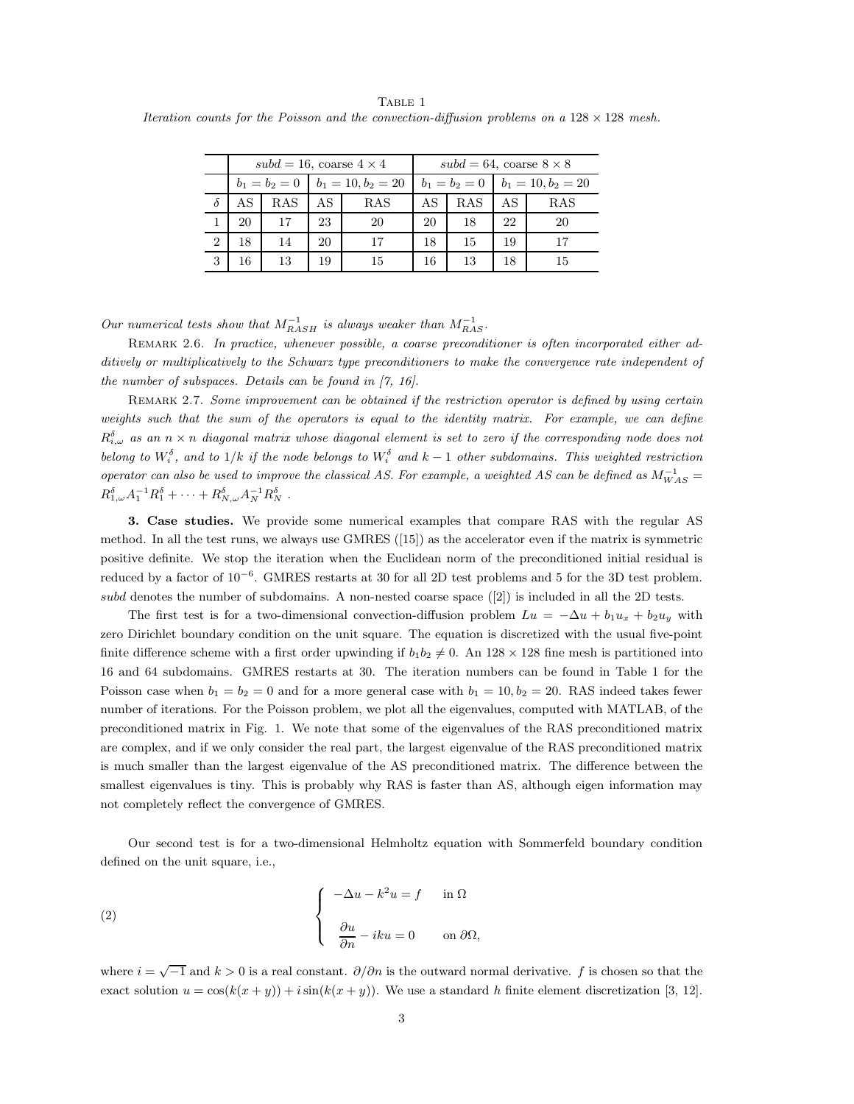Table 1 Iteration counts for the Poisson and the convection-diffusion problems on a  $128 \times 128$  mesh.

|                | $subd = 16$ , coarse $4 \times 4$ |            |                      |     | $subd = 64$ , coarse $8 \times 8$ |     |                      |     |
|----------------|-----------------------------------|------------|----------------------|-----|-----------------------------------|-----|----------------------|-----|
|                | $b_1 = b_2 = 0$                   |            | $b_1 = 10, b_2 = 20$ |     | $b_1 = b_2 = 0$                   |     | $b_1 = 10, b_2 = 20$ |     |
|                | AS                                | <b>RAS</b> | AS                   | RAS | AS                                | RAS | AS                   | RAS |
|                | 20                                | 17         | 23                   | 20  | 20                                | 18  | 22                   | 20  |
| $\overline{2}$ | 18                                | 14         | 20                   | 17  | 18                                | 15  | 19                   |     |
| 3              | 16                                | 13         | 19                   | 15  | 16                                | 13  | 18                   | 15  |

Our numerical tests show that  $M_{RASH}^{-1}$  is always weaker than  $M_{RAS}^{-1}$ .

REMARK 2.6. In practice, whenever possible, a coarse preconditioner is often incorporated either additively or multiplicatively to the Schwarz type preconditioners to make the convergence rate independent of the number of subspaces. Details can be found in [7, 16].

REMARK 2.7. Some improvement can be obtained if the restriction operator is defined by using certain weights such that the sum of the operators is equal to the identity matrix. For example, we can define  $R^{\delta}_{i,\omega}$  as an  $n \times n$  diagonal matrix whose diagonal element is set to zero if the corresponding node does not belong to  $W_i^{\delta}$ , and to  $1/k$  if the node belongs to  $W_i^{\delta}$  and  $k-1$  other subdomains. This weighted restriction operator can also be used to improve the classical AS. For example, a weighted AS can be defined as  $M_{WAS}^{-1}$  $R_{1,\omega}^{\delta}A_{1}^{-1}R_{1}^{\delta}+\cdots+R_{N,\omega}^{\delta}A_{N}^{-1}R_{N}^{\delta}$ .

**3. Case studies.** We provide some numerical examples that compare RAS with the regular AS method. In all the test runs, we always use GMRES ([15]) as the accelerator even if the matrix is symmetric positive definite. We stop the iteration when the Euclidean norm of the preconditioned initial residual is reduced by a factor of 10−<sup>6</sup>. GMRES restarts at 30 for all 2D test problems and 5 for the 3D test problem. subd denotes the number of subdomains. A non-nested coarse space ([2]) is included in all the 2D tests.

The first test is for a two-dimensional convection-diffusion problem  $Lu = -\Delta u + b_1u_x + b_2u_y$  with zero Dirichlet boundary condition on the unit square. The equation is discretized with the usual five-point finite difference scheme with a first order upwinding if  $b_1b_2 \neq 0$ . An  $128 \times 128$  fine mesh is partitioned into 16 and 64 subdomains. GMRES restarts at 30. The iteration numbers can be found in Table 1 for the Poisson case when  $b_1 = b_2 = 0$  and for a more general case with  $b_1 = 10, b_2 = 20$ . RAS indeed takes fewer number of iterations. For the Poisson problem, we plot all the eigenvalues, computed with MATLAB, of the preconditioned matrix in Fig. 1. We note that some of the eigenvalues of the RAS preconditioned matrix are complex, and if we only consider the real part, the largest eigenvalue of the RAS preconditioned matrix is much smaller than the largest eigenvalue of the AS preconditioned matrix. The difference between the smallest eigenvalues is tiny. This is probably why RAS is faster than AS, although eigen information may not completely reflect the convergence of GMRES.

Our second test is for a two-dimensional Helmholtz equation with Sommerfeld boundary condition defined on the unit square, i.e.,

(2) 
$$
\begin{cases}\n-\Delta u - k^2 u = f & \text{in } \Omega \\
\frac{\partial u}{\partial n} - i k u = 0 & \text{on } \partial \Omega,\n\end{cases}
$$

where  $i = \sqrt{-1}$  and  $k > 0$  is a real constant.  $\partial/\partial n$  is the outward normal derivative. f is chosen so that the exact solution  $u = \cos(k(x + y)) + i \sin(k(x + y))$ . We use a standard h finite element discretization [3, 12].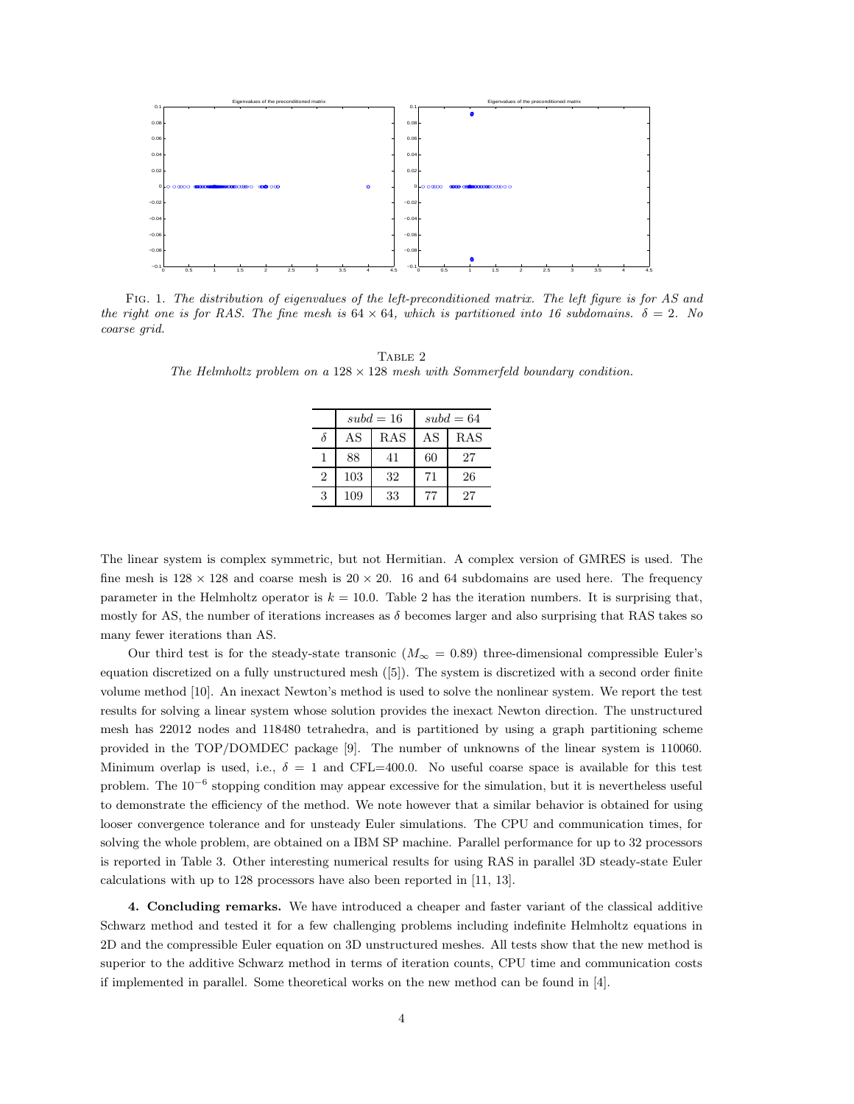

Fig. 1. The distribution of eigenvalues of the left-preconditioned matrix. The left figure is for AS and the right one is for RAS. The fine mesh is  $64 \times 64$ , which is partitioned into 16 subdomains.  $\delta = 2$ . No coarse grid.

TABLE 2 The Helmholtz problem on a  $128 \times 128$  mesh with Sommerfeld boundary condition.

|                |     | $subd = 16$ | $subd = 64$ |     |  |
|----------------|-----|-------------|-------------|-----|--|
|                | AS  | <b>RAS</b>  | AS          | RAS |  |
|                | 88  | 41          | 60          | 27  |  |
| $\overline{2}$ | 103 | 32          | 71          | 26  |  |
| 3              | 109 | 33          |             | 27  |  |

The linear system is complex symmetric, but not Hermitian. A complex version of GMRES is used. The fine mesh is  $128 \times 128$  and coarse mesh is  $20 \times 20$ . 16 and 64 subdomains are used here. The frequency parameter in the Helmholtz operator is  $k = 10.0$ . Table 2 has the iteration numbers. It is surprising that, mostly for AS, the number of iterations increases as  $\delta$  becomes larger and also surprising that RAS takes so many fewer iterations than AS.

Our third test is for the steady-state transonic ( $M_{\infty} = 0.89$ ) three-dimensional compressible Euler's equation discretized on a fully unstructured mesh ([5]). The system is discretized with a second order finite volume method [10]. An inexact Newton's method is used to solve the nonlinear system. We report the test results for solving a linear system whose solution provides the inexact Newton direction. The unstructured mesh has 22012 nodes and 118480 tetrahedra, and is partitioned by using a graph partitioning scheme provided in the TOP/DOMDEC package [9]. The number of unknowns of the linear system is 110060. Minimum overlap is used, i.e.,  $\delta = 1$  and CFL=400.0. No useful coarse space is available for this test problem. The  $10^{-6}$  stopping condition may appear excessive for the simulation, but it is nevertheless useful to demonstrate the efficiency of the method. We note however that a similar behavior is obtained for using looser convergence tolerance and for unsteady Euler simulations. The CPU and communication times, for solving the whole problem, are obtained on a IBM SP machine. Parallel performance for up to 32 processors is reported in Table 3. Other interesting numerical results for using RAS in parallel 3D steady-state Euler calculations with up to 128 processors have also been reported in [11, 13].

**4. Concluding remarks.** We have introduced a cheaper and faster variant of the classical additive Schwarz method and tested it for a few challenging problems including indefinite Helmholtz equations in 2D and the compressible Euler equation on 3D unstructured meshes. All tests show that the new method is superior to the additive Schwarz method in terms of iteration counts, CPU time and communication costs if implemented in parallel. Some theoretical works on the new method can be found in [4].